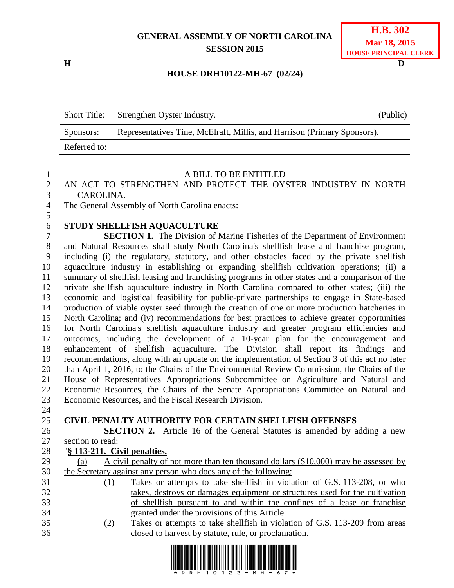## **GENERAL ASSEMBLY OF NORTH CAROLINA SESSION 2015**

**H D**

| <b>H.B. 302</b>       |
|-----------------------|
| <b>Mar 18, 2015</b>   |
| HOUSE PRINCIPAL CLERK |

### **HOUSE DRH10122-MH-67 (02/24)**

| <b>Short Title:</b> | Strengthen Oyster Industry.                                              | (Public) |
|---------------------|--------------------------------------------------------------------------|----------|
| Sponsors:           | Representatives Tine, McElraft, Millis, and Harrison (Primary Sponsors). |          |
| Referred to:        |                                                                          |          |

#### A BILL TO BE ENTITLED

 AN ACT TO STRENGTHEN AND PROTECT THE OYSTER INDUSTRY IN NORTH CAROLINA.

The General Assembly of North Carolina enacts:

# **STUDY SHELLFISH AQUACULTURE**

 **SECTION 1.** The Division of Marine Fisheries of the Department of Environment and Natural Resources shall study North Carolina's shellfish lease and franchise program, including (i) the regulatory, statutory, and other obstacles faced by the private shellfish aquaculture industry in establishing or expanding shellfish cultivation operations; (ii) a summary of shellfish leasing and franchising programs in other states and a comparison of the private shellfish aquaculture industry in North Carolina compared to other states; (iii) the economic and logistical feasibility for public-private partnerships to engage in State-based production of viable oyster seed through the creation of one or more production hatcheries in North Carolina; and (iv) recommendations for best practices to achieve greater opportunities for North Carolina's shellfish aquaculture industry and greater program efficiencies and outcomes, including the development of a 10-year plan for the encouragement and enhancement of shellfish aquaculture. The Division shall report its findings and recommendations, along with an update on the implementation of Section 3 of this act no later than April 1, 2016, to the Chairs of the Environmental Review Commission, the Chairs of the House of Representatives Appropriations Subcommittee on Agriculture and Natural and Economic Resources, the Chairs of the Senate Appropriations Committee on Natural and Economic Resources, and the Fiscal Research Division.

#### **CIVIL PENALTY AUTHORITY FOR CERTAIN SHELLFISH OFFENSES**

 **SECTION 2.** Article 16 of the General Statutes is amended by adding a new section to read:

"**§ 113-211. Civil penalties.**

| 29 | (a)                                                                |  |  |  |  | A civil penalty of not more than ten thousand dollars (\$10,000) may be assessed by |  |
|----|--------------------------------------------------------------------|--|--|--|--|-------------------------------------------------------------------------------------|--|
|    | 30 the Secretary against any person who does any of the following: |  |  |  |  |                                                                                     |  |

- (1) Takes or attempts to take shellfish in violation of G.S. 113-208, or who takes, destroys or damages equipment or structures used for the cultivation of shellfish pursuant to and within the confines of a lease or franchise granted under the provisions of this Article.
- (2) Takes or attempts to take shellfish in violation of G.S. 113-209 from areas closed to harvest by statute, rule, or proclamation.

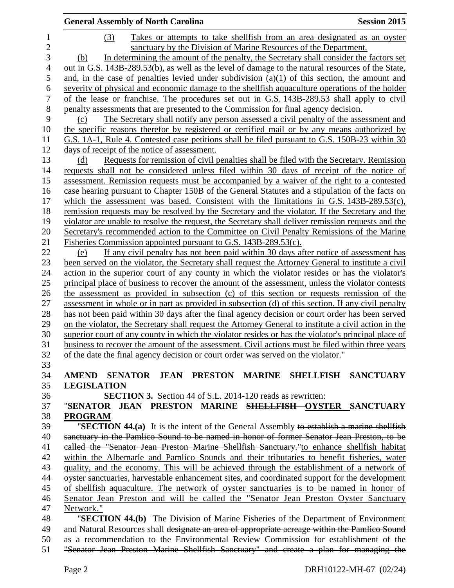|                | <b>General Assembly of North Carolina</b>                                                                                                                                                                   | <b>Session 2015</b> |
|----------------|-------------------------------------------------------------------------------------------------------------------------------------------------------------------------------------------------------------|---------------------|
| $\mathbf{1}$   | (3)<br>Takes or attempts to take shell fish from an area designated as an oyster                                                                                                                            |                     |
| $\overline{2}$ | sanctuary by the Division of Marine Resources of the Department.                                                                                                                                            |                     |
| 3              | In determining the amount of the penalty, the Secretary shall consider the factors set<br>(b)                                                                                                               |                     |
| $\overline{4}$ | out in G.S. 143B-289.53(b), as well as the level of damage to the natural resources of the State,                                                                                                           |                     |
| 5              | and, in the case of penalties levied under subdivision $(a)(1)$ of this section, the amount and                                                                                                             |                     |
| 6              | severity of physical and economic damage to the shellfish aquaculture operations of the holder                                                                                                              |                     |
| 7              | of the lease or franchise. The procedures set out in G.S. 143B-289.53 shall apply to civil                                                                                                                  |                     |
| $8\,$          | penalty assessments that are presented to the Commission for final agency decision.                                                                                                                         |                     |
| 9              | The Secretary shall notify any person assessed a civil penalty of the assessment and<br>(c)                                                                                                                 |                     |
| 10             | the specific reasons therefor by registered or certified mail or by any means authorized by                                                                                                                 |                     |
| 11             | G.S. 1A-1, Rule 4. Contested case petitions shall be filed pursuant to G.S. 150B-23 within 30                                                                                                               |                     |
| 12             | days of receipt of the notice of assessment.                                                                                                                                                                |                     |
| 13             | Requests for remission of civil penalties shall be filed with the Secretary. Remission<br>(d)                                                                                                               |                     |
| 14             | requests shall not be considered unless filed within 30 days of receipt of the notice of                                                                                                                    |                     |
| 15             | assessment. Remission requests must be accompanied by a waiver of the right to a contested                                                                                                                  |                     |
| 16             | case hearing pursuant to Chapter 150B of the General Statutes and a stipulation of the facts on                                                                                                             |                     |
| 17             | which the assessment was based. Consistent with the limitations in G.S. $143B-289.53(c)$ ,                                                                                                                  |                     |
| 18             | remission requests may be resolved by the Secretary and the violator. If the Secretary and the                                                                                                              |                     |
| 19             | violator are unable to resolve the request, the Secretary shall deliver remission requests and the                                                                                                          |                     |
| 20             | Secretary's recommended action to the Committee on Civil Penalty Remissions of the Marine                                                                                                                   |                     |
| 21             | Fisheries Commission appointed pursuant to G.S. 143B-289.53(c).                                                                                                                                             |                     |
| 22             | If any civil penalty has not been paid within 30 days after notice of assessment has<br>(e)                                                                                                                 |                     |
| 23             | been served on the violator, the Secretary shall request the Attorney General to institute a civil                                                                                                          |                     |
| 24             | action in the superior court of any county in which the violator resides or has the violator's                                                                                                              |                     |
| 25             | principal place of business to recover the amount of the assessment, unless the violator contests                                                                                                           |                     |
| 26             | the assessment as provided in subsection (c) of this section or requests remission of the                                                                                                                   |                     |
| 27             | assessment in whole or in part as provided in subsection (d) of this section. If any civil penalty                                                                                                          |                     |
| 28             | has not been paid within 30 days after the final agency decision or court order has been served                                                                                                             |                     |
| 29<br>30       | on the violator, the Secretary shall request the Attorney General to institute a civil action in the<br>superior court of any county in which the violator resides or has the violator's principal place of |                     |
| 31             | business to recover the amount of the assessment. Civil actions must be filed within three years                                                                                                            |                     |
| 32             | of the date the final agency decision or court order was served on the violator."                                                                                                                           |                     |
| 33             |                                                                                                                                                                                                             |                     |
| 34             | AMEND SENATOR JEAN PRESTON MARINE SHELLFISH SANCTUARY                                                                                                                                                       |                     |
| 35             | <b>LEGISLATION</b>                                                                                                                                                                                          |                     |
| 36             | <b>SECTION 3.</b> Section 44 of S.L. 2014-120 reads as rewritten:                                                                                                                                           |                     |
| 37             | "SENATOR JEAN PRESTON MARINE <del>SHELLFISH</del> -OYSTER SANCTUARY                                                                                                                                         |                     |
| 38             | <b>PROGRAM</b>                                                                                                                                                                                              |                     |
| 39             | "SECTION 44.(a) It is the intent of the General Assembly to establish a marine shellfish                                                                                                                    |                     |
| 40             | sanctuary in the Pamlico Sound to be named in honor of former Senator Jean Preston, to be                                                                                                                   |                     |
| 41             | called the "Senator Jean Preston Marine Shellfish Sanctuary."to enhance shellfish habitat                                                                                                                   |                     |
| 42             | within the Albemarle and Pamlico Sounds and their tributaries to benefit fisheries, water                                                                                                                   |                     |
| 43             | quality, and the economy. This will be achieved through the establishment of a network of                                                                                                                   |                     |
| 44             | oyster sanctuaries, harvestable enhancement sites, and coordinated support for the development                                                                                                              |                     |
| 45             | of shellfish aquaculture. The network of oyster sanctuaries is to be named in honor of                                                                                                                      |                     |
| 46             | Senator Jean Preston and will be called the "Senator Jean Preston Oyster Sanctuary                                                                                                                          |                     |
| 47             | Network."                                                                                                                                                                                                   |                     |
| 48             | "SECTION 44.(b) The Division of Marine Fisheries of the Department of Environment                                                                                                                           |                     |
| 49             | and Natural Resources shall designate an area of appropriate acreage within the Pamlico Sound                                                                                                               |                     |
| 50             | as a recommendation to the Environmental Review Commission for establishment of the<br>"Senator Jean Preston Marine Shellfish Sanctuary" and create a plan for managing the                                 |                     |
| 51             |                                                                                                                                                                                                             |                     |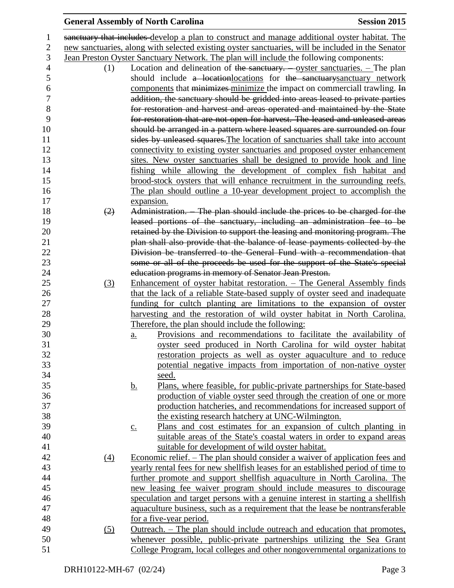|                  | <b>General Assembly of North Carolina</b>                                                                                | <b>Session 2015</b> |
|------------------|--------------------------------------------------------------------------------------------------------------------------|---------------------|
|                  | sanctuary that includes develop a plan to construct and manage additional oyster habitat. The                            |                     |
|                  | new sanctuaries, along with selected existing oyster sanctuaries, will be included in the Senator                        |                     |
|                  | Jean Preston Oyster Sanctuary Network. The plan will include the following components:                                   |                     |
| (1)              | Location and delineation of the sanctuary. $\frac{1}{2}$ oyster sanctuaries. $\frac{1}{2}$ The plan                      |                     |
|                  | should include a locationlocations for the sanctuary sanctuary network                                                   |                     |
|                  | components that minimizes minimize the impact on commerciall trawling. In                                                |                     |
|                  | addition, the sanctuary should be gridded into areas leased to private parties                                           |                     |
|                  | for restoration and harvest and areas operated and maintained by the State                                               |                     |
|                  | for restoration that are not open for harvest. The leased and unleased areas                                             |                     |
|                  | should be arranged in a pattern where leased squares are surrounded on four                                              |                     |
|                  | sides by unleased squares. The location of sanctuaries shall take into account                                           |                     |
|                  | connectivity to existing oyster sanctuaries and proposed oyster enhancement                                              |                     |
|                  | sites. New oyster sanctuaries shall be designed to provide hook and line                                                 |                     |
|                  | fishing while allowing the development of complex fish habitat and                                                       |                     |
|                  | brood-stock oysters that will enhance recruitment in the surrounding reefs.                                              |                     |
|                  | The plan should outline a 10-year development project to accomplish the                                                  |                     |
|                  | expansion.                                                                                                               |                     |
| (2)              | Administration. The plan should include the prices to be charged for the                                                 |                     |
|                  | leased portions of the sanctuary, including an administration fee to be                                                  |                     |
|                  | retained by the Division to support the leasing and monitoring program. The                                              |                     |
|                  | plan shall also provide that the balance of lease payments collected by the                                              |                     |
|                  | Division be transferred to the General Fund with a recommendation that                                                   |                     |
|                  | some or all of the proceeds be used for the support of the State's special                                               |                     |
|                  | education programs in memory of Senator Jean Preston.                                                                    |                     |
| (3)              | Enhancement of oyster habitat restoration. - The General Assembly finds                                                  |                     |
|                  | that the lack of a reliable State-based supply of oyster seed and inadequate                                             |                     |
|                  | funding for cultch planting are limitations to the expansion of oyster                                                   |                     |
|                  | harvesting and the restoration of wild oyster habitat in North Carolina.                                                 |                     |
|                  | Therefore, the plan should include the following:                                                                        |                     |
|                  | Provisions and recommendations to facilitate the availability of<br>$\underline{a}$ .                                    |                     |
|                  | oyster seed produced in North Carolina for wild oyster habitat                                                           |                     |
|                  | restoration projects as well as oyster aquaculture and to reduce                                                         |                     |
|                  | potential negative impacts from importation of non-native oyster                                                         |                     |
|                  | seed.                                                                                                                    |                     |
|                  | Plans, where feasible, for public-private partnerships for State-based<br><u>b.</u>                                      |                     |
|                  | production of viable oyster seed through the creation of one or more                                                     |                     |
|                  | production hatcheries, and recommendations for increased support of<br>the existing research hatchery at UNC-Wilmington. |                     |
|                  | Plans and cost estimates for an expansion of cultch planting in                                                          |                     |
|                  | $\underline{c}$ .<br>suitable areas of the State's coastal waters in order to expand areas                               |                     |
|                  | suitable for development of wild oyster habitat.                                                                         |                     |
| $\left(4\right)$ | <u>Economic relief. – The plan should consider a waiver of application fees and</u>                                      |                     |
|                  | yearly rental fees for new shell fish leases for an established period of time to                                        |                     |
|                  | further promote and support shellfish aquaculture in North Carolina. The                                                 |                     |
|                  | new leasing fee waiver program should include measures to discourage                                                     |                     |
|                  | speculation and target persons with a genuine interest in starting a shellfish                                           |                     |
|                  | aquaculture business, such as a requirement that the lease be nontransferable                                            |                     |
|                  | for a five-year period.                                                                                                  |                     |
| (5)              | <u>Outreach. – The plan should include outreach and education that promotes,</u>                                         |                     |
|                  | whenever possible, public-private partnerships utilizing the Sea Grant                                                   |                     |
|                  | College Program, local colleges and other nongovernmental organizations to                                               |                     |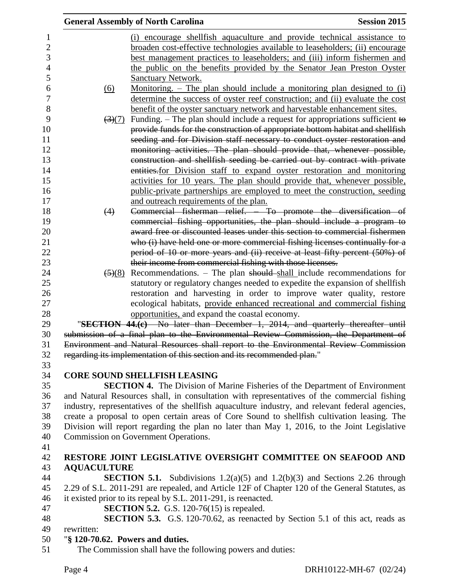|                |                                  | <b>General Assembly of North Carolina</b>                                                       | <b>Session 2015</b> |
|----------------|----------------------------------|-------------------------------------------------------------------------------------------------|---------------------|
| 1              |                                  | (i) encourage shell fish aquaculture and provide technical assistance to                        |                     |
| $\overline{2}$ |                                  | broaden cost-effective technologies available to leaseholders; (ii) encourage                   |                     |
| 3              |                                  | best management practices to leaseholders; and (iii) inform fishermen and                       |                     |
| $\overline{4}$ |                                  | the public on the benefits provided by the Senator Jean Preston Oyster                          |                     |
| 5              |                                  | <b>Sanctuary Network.</b>                                                                       |                     |
| 6              | (6)                              | <u>Monitoring. – The plan should include a monitoring plan designed to (i)</u>                  |                     |
| $\overline{7}$ |                                  | determine the success of oyster reef construction; and (ii) evaluate the cost                   |                     |
| 8              |                                  | benefit of the oyster sanctuary network and harvestable enhancement sites.                      |                     |
| 9              |                                  | $\frac{3(7)}{2}$ Funding. – The plan should include a request for appropriations sufficient to  |                     |
| 10             |                                  | provide funds for the construction of appropriate bottom habitat and shellfish                  |                     |
| 11             |                                  | seeding and for Division staff necessary to conduct oyster restoration and                      |                     |
| 12             |                                  | monitoring activities. The plan should provide that, whenever possible,                         |                     |
| 13             |                                  | construction and shellfish seeding be carried out by contract with private                      |                     |
| 14             |                                  | entities for Division staff to expand oyster restoration and monitoring                         |                     |
| 15             |                                  | activities for 10 years. The plan should provide that, whenever possible,                       |                     |
| 16             |                                  | public-private partnerships are employed to meet the construction, seeding                      |                     |
| 17             |                                  | and outreach requirements of the plan.                                                          |                     |
| 18             | (4)                              | Commercial fisherman relief. To promote the diversification of                                  |                     |
| 19             |                                  | commercial fishing opportunities, the plan should include a program to                          |                     |
| 20             |                                  | award free or discounted leases under this section to commercial fishermen                      |                     |
| 21             |                                  | who (i) have held one or more commercial fishing licenses continually for a                     |                     |
| 22             |                                  | period of 10 or more years and (ii) receive at least fifty percent (50%) of                     |                     |
| 23             |                                  | their income from commercial fishing with those licenses.                                       |                     |
| 24             |                                  | $\frac{5(8)}{8}$ Recommendations. – The plan should shall include recommendations for           |                     |
| 25             |                                  | statutory or regulatory changes needed to expedite the expansion of shellfish                   |                     |
| 26             |                                  | restoration and harvesting in order to improve water quality, restore                           |                     |
| 27             |                                  | ecological habitats, provide enhanced recreational and commercial fishing                       |                     |
| 28             |                                  | opportunities, and expand the coastal economy.                                                  |                     |
| 29             |                                  | "SECTION 44.(e) No later than December 1, 2014, and quarterly thereafter until                  |                     |
| 30             |                                  | submission of a final plan to the Environmental Review Commission, the Department of            |                     |
| 31             |                                  | Environment and Natural Resources shall report to the Environmental Review Commission           |                     |
| 32             |                                  | regarding its implementation of this section and its recommended plan."                         |                     |
| 33             |                                  |                                                                                                 |                     |
| 34             |                                  | <b>CORE SOUND SHELLFISH LEASING</b>                                                             |                     |
| 35             |                                  | <b>SECTION 4.</b> The Division of Marine Fisheries of the Department of Environment             |                     |
| 36             |                                  | and Natural Resources shall, in consultation with representatives of the commercial fishing     |                     |
| 37             |                                  | industry, representatives of the shellfish aquaculture industry, and relevant federal agencies, |                     |
| 38             |                                  | create a proposal to open certain areas of Core Sound to shellfish cultivation leasing. The     |                     |
| 39             |                                  | Division will report regarding the plan no later than May 1, 2016, to the Joint Legislative     |                     |
| 40             |                                  | Commission on Government Operations.                                                            |                     |
| 41             |                                  |                                                                                                 |                     |
| 42             |                                  | RESTORE JOINT LEGISLATIVE OVERSIGHT COMMITTEE ON SEAFOOD AND                                    |                     |
| 43             | <b>AQUACULTURE</b>               |                                                                                                 |                     |
| 44             |                                  | <b>SECTION 5.1.</b> Subdivisions $1.2(a)(5)$ and $1.2(b)(3)$ and Sections 2.26 through          |                     |
| 45             |                                  | 2.29 of S.L. 2011-291 are repealed, and Article 12F of Chapter 120 of the General Statutes, as  |                     |
| 46             |                                  | it existed prior to its repeal by S.L. 2011-291, is reenacted.                                  |                     |
| 47             |                                  | <b>SECTION 5.2.</b> G.S. 120-76(15) is repealed.                                                |                     |
| 48             |                                  | <b>SECTION 5.3.</b> G.S. 120-70.62, as reenacted by Section 5.1 of this act, reads as           |                     |
| 49             | rewritten:                       |                                                                                                 |                     |
| 50             | "§ 120-70.62. Powers and duties. |                                                                                                 |                     |
| 51             |                                  | The Commission shall have the following powers and duties:                                      |                     |